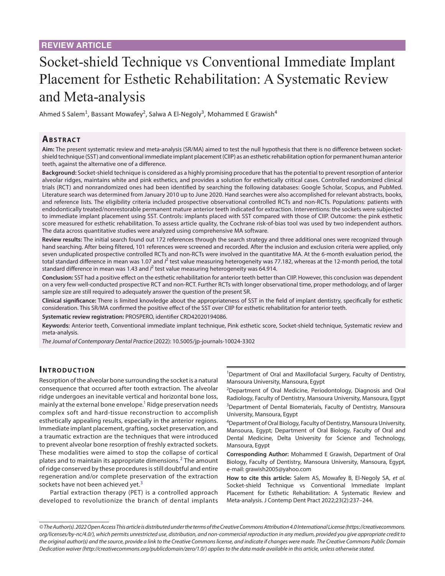# Socket-shield Technique vs Conventional Immediate Implant Placement for Esthetic Rehabilitation: A Systematic Review and Meta-analysis

Ahmed S Salem<sup>1</sup>, Bassant Mowafey<sup>2</sup>, Salwa A El-Negoly<sup>3</sup>, Mohammed E Grawish<sup>4</sup>

# **Ab s t rac t**

**Aim:** The present systematic review and meta-analysis (SR/MA) aimed to test the null hypothesis that there is no difference between socketshield technique (SST) and conventional immediate implant placement (CIIP) as an esthetic rehabilitation option for permanent human anterior teeth, against the alternative one of a difference.

**Background:** Socket-shield technique is considered as a highly promising procedure that has the potential to prevent resorption of anterior alveolar ridges, maintains white and pink esthetics, and provides a solution for esthetically critical cases. Controlled randomized clinical trials (RCT) and nonrandomized ones had been identified by searching the following databases: Google Scholar, Scopus, and PubMed. Literature search was determined from January 2010 up to June 2020. Hand searches were also accomplished for relevant abstracts, books, and reference lists. The eligibility criteria included prospective observational controlled RCTs and non-RCTs. Populations: patients with endodontically treated/nonrestorable permanent mature anterior teeth indicated for extraction. Interventions: the sockets were subjected to immediate implant placement using SST. Controls: implants placed with SST compared with those of CIIP. Outcome: the pink esthetic score measured for esthetic rehabilitation. To assess article quality, the Cochrane risk-of-bias tool was used by two independent authors. The data across quantitative studies were analyzed using comprehensive MA software.

**Review results:** The initial search found out 172 references through the search strategy and three additional ones were recognized through hand searching. After being filtered, 101 references were screened and recorded. After the inclusion and exclusion criteria were applied, only seven unduplicated prospective controlled RCTs and non-RCTs were involved in the quantitative MA. At the 6-month evaluation period, the total standard difference in mean was 1.07 and  $l^2$  test value measuring heterogeneity was 77.182, whereas at the 12-month period, the total standard difference in mean was 1.43 and <sup>*P*</sup> test value measuring heterogeneity was 64.914.

**Conclusion:** SST had a positive effect on the esthetic rehabilitation for anterior teeth better than CIIP. However, this conclusion was dependent on a very few well-conducted prospective RCT and non-RCT. Further RCTs with longer observational time, proper methodology, and of larger sample size are still required to adequately answer the question of the present SR.

**Clinical significance:** There is limited knowledge about the appropriateness of SST in the field of implant dentistry, specifically for esthetic consideration. This SR/MA confirmed the positive effect of the SST over CIIP for esthetic rehabilitation for anterior teeth.

**Systematic review registration:** PROSPERO, identifier CRD42020194086.

**Keywords:** Anterior teeth, Conventional immediate implant technique, Pink esthetic score, Socket-shield technique, Systematic review and meta-analysis.

*The Journal of Contemporary Dental Practice* (2022): 10.5005/jp-journals-10024-3302

# **INTRODUCTION**

Resorption of the alveolar bone surrounding the socket is a natural consequence that occurred after tooth extraction. The alveolar ridge undergoes an inevitable vertical and horizontal bone loss, mainly at the external bone envelope.<sup>1</sup> Ridge preservation needs complex soft and hard-tissue reconstruction to accomplish esthetically appealing results, especially in the anterior regions. Immediate implant placement, grafting, socket preservation, and a traumatic extraction are the techniques that were introduced to prevent alveolar bone resorption of freshly extracted sockets. These modalities were aimed to stop the collapse of cortical plates and to maintain its appropriate dimensions.<sup>[2](#page-7-1)</sup> The amount of ridge conserved by these procedures is still doubtful and entire regeneration and/or complete preservation of the extraction sockets have not been achieved yet.<sup>[3](#page-7-2)</sup>

Partial extraction therapy (PET) is a controlled approach developed to revolutionize the branch of dental implants <sup>1</sup>Department of Oral and Maxillofacial Surgery, Faculty of Dentistry, Mansoura University, Mansoura, Egypt

<sup>2</sup>Department of Oral Medicine, Periodontology, Diagnosis and Oral Radiology, Faculty of Dentistry, Mansoura University, Mansoura, Egypt <sup>3</sup>Department of Dental Biomaterials, Faculty of Dentistry, Mansoura University, Mansoura, Egypt

4 Department of Oral Biology, Faculty of Dentistry, Mansoura University, Mansoura, Egypt; Department of Oral Biology, Faculty of Oral and Dental Medicine, Delta University for Science and Technology, Mansoura, Egypt

**Corresponding Author:** Mohammed E Grawish, Department of Oral Biology, Faculty of Dentistry, Mansoura University, Mansoura, Egypt, e-mail: grawish2005@yahoo.com

**How to cite this article:** Salem AS, Mowafey B, El-Negoly SA, *et al*. Socket-shield Technique vs Conventional Immediate Implant Placement for Esthetic Rehabilitation: A Systematic Review and Meta-analysis. J Contemp Dent Pract 2022;23(2):237–244.

*<sup>©</sup> The Author(s). 2022 Open Access This article is distributed under the terms of the Creative Commons Attribution 4.0 International License ([https://creativecommons.](https://creativecommons.org/licenses/by-nc/4.0/) [org/licenses/by-nc/4.0/](https://creativecommons.org/licenses/by-nc/4.0/)), which permits unrestricted use, distribution, and non-commercial reproduction in any medium, provided you give appropriate credit to the original author(s) and the source, provide a link to the Creative Commons license, and indicate if changes were made. The Creative Commons Public Domain Dedication waiver ([http://creativecommons.org/publicdomain/zero/1.0/\)](http://creativecommons.org/publicdomain/zero/1.0/) applies to the data made available in this article, unless otherwise stated.*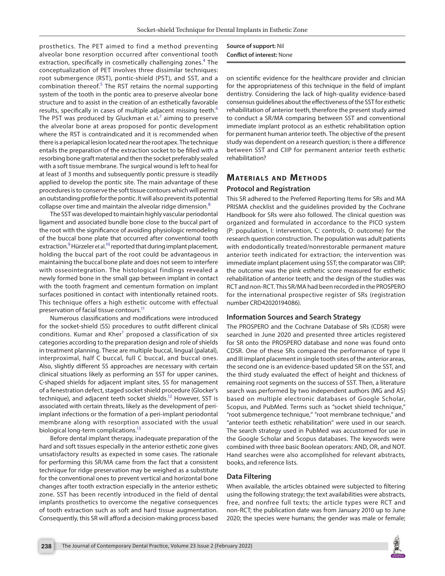prosthetics. The PET aimed to find a method preventing alveolar bone resorption occurred after conventional tooth extraction, specifically in cosmetically challenging zones.<sup>[4](#page-7-3)</sup> The conceptualization of PET involves three dissimilar techniques: root submergence (RST), pontic-shield (PST), and SST, and a combination thereof. $5$  The RST retains the normal supporting system of the tooth in the pontic area to preserve alveolar bone structure and to assist in the creation of an esthetically favorable results, specifically in cases of multiple adjacent missing teeth.<sup>[6](#page-7-5)</sup> The PST was produced by Gluckman et al.<sup>[7](#page-7-6)</sup> aiming to preserve the alveolar bone at areas proposed for pontic development where the RST is contraindicated and it is recommended when there is a periapical lesion located near the root apex. The technique entails the preparation of the extraction socket to be filled with a resorbing bone graft material and then the socket preferably sealed with a soft tissue membrane. The surgical wound is left to heal for at least of 3 months and subsequently pontic pressure is steadily applied to develop the pontic site. The main advantage of these procedures is to conserve the soft tissue contours which will permit an outstanding profile for the pontic. It will also prevent its potential collapse over time and maintain the alveolar ridge dimension.<sup>[8](#page-7-7)</sup>

The SST was developed to maintain highly vascular periodontal ligament and associated bundle bone close to the buccal part of the root with the significance of avoiding physiologic remodeling of the buccal bone plate that occurred after conventional tooth extraction.<sup>[9](#page-7-8)</sup> Hürzeler et al.<sup>[10](#page-7-9)</sup> reported that during implant placement, holding the buccal part of the root could be advantageous in maintaining the buccal bone plate and does not seem to interfere with osseointegration. The histological findings revealed a newly formed bone in the small gap between implant in contact with the tooth fragment and cementum formation on implant surfaces positioned in contact with intentionally retained roots. This technique offers a high esthetic outcome with effectual preservation of facial tissue contours.<sup>11</sup>

Numerous classifications and modifications were introduced for the socket-shield (SS) procedures to outfit different clinical conditions. Kumar and Kher<sup>[1](#page-7-0)</sup> proposed a classification of six categories according to the preparation design and role of shields in treatment planning. These are multiple buccal, lingual (palatal), interproximal, half C buccal, full C buccal, and buccal ones. Also, slightly different SS approaches are necessary with certain clinical situations likely as performing an SST for upper canines, C-shaped shields for adjacent implant sites, SS for management of a fenestration defect, staged socket shield procedure (Glocker's technique), and adjacent teeth socket shields.<sup>12</sup> However, SST is associated with certain threats, likely as the development of periimplant infections or the formation of a peri-implant periodontal membrane along with resorption associated with the usual biological long-term complications.<sup>13</sup>

Before dental implant therapy, inadequate preparation of the hard and soft tissues especially in the anterior esthetic zone gives unsatisfactory results as expected in some cases. The rationale for performing this SR/MA came from the fact that a consistent technique for ridge preservation may be weighed as a substitute for the conventional ones to prevent vertical and horizontal bone changes after tooth extraction especially in the anterior esthetic zone. SST has been recently introduced in the field of dental implants prosthetics to overcome the negative consequences of tooth extraction such as soft and hard tissue augmentation. Consequently, this SR will afford a decision-making process based

## **Source of support:** Nil **Conflict of interest:** None

on scientific evidence for the healthcare provider and clinician for the appropriateness of this technique in the field of implant dentistry. Considering the lack of high-quality evidence-based consensus guidelines about the effectiveness of the SST for esthetic rehabilitation of anterior teeth, therefore the present study aimed to conduct a SR/MA comparing between SST and conventional immediate implant protocol as an esthetic rehabilitation option for permanent human anterior teeth. The objective of the present study was dependent on a research question; is there a difference between SST and CIIP for permanent anterior teeth esthetic rehabilitation?

# **MATERIALS AND METHODS**

#### **Protocol and Registration**

This SR adhered to the Preferred Reporting Items for SRs and MA PRISMA checklist and the guidelines provided by the Cochrane Handbook for SRs were also followed. The clinical question was organized and formulated in accordance to the PICO system (P: population, I: intervention, C: controls, O: outcome) for the research question construction. The population was adult patients with endodontically treated/nonrestorable permanent mature anterior teeth indicated for extraction; the intervention was immediate implant placement using SST; the comparator was CIIP; the outcome was the pink esthetic score measured for esthetic rehabilitation of anterior teeth; and the design of the studies was RCT and non-RCT. This SR/MA had been recorded in the PROSPERO for the international prospective register of SRs (registration number CRD42020194086).

#### **Information Sources and Search Strategy**

The PROSPERO and the Cochrane Database of SRs (CDSR) were searched in June 2020 and presented three articles registered for SR onto the PROSPERO database and none was found onto CDSR. One of these SRs compared the performance of type II and III implant placement in single tooth sites of the anterior areas, the second one is an evidence-based updated SR on the SST, and the third study evaluated the effect of height and thickness of remaining root segments on the success of SST. Then, a literature search was performed by two independent authors (MG and AS) based on multiple electronic databases of Google Scholar, Scopus, and PubMed. Terms such as "socket shield technique," "root submergence technique," "root membrane technique," and "anterior teeth esthetic rehabilitation" were used in our search. The search strategy used in PubMed was accustomed for use in the Google Scholar and Scopus databases. The keywords were combined with three basic Boolean operators: AND, OR, and NOT. Hand searches were also accomplished for relevant abstracts, books, and reference lists.

#### **Data Filtering**

When available, the articles obtained were subjected to filtering using the following strategy; the text availabilities were abstracts, free, and nonfree full texts; the article types were RCT and non-RCT; the publication date was from January 2010 up to June 2020; the species were humans; the gender was male or female;

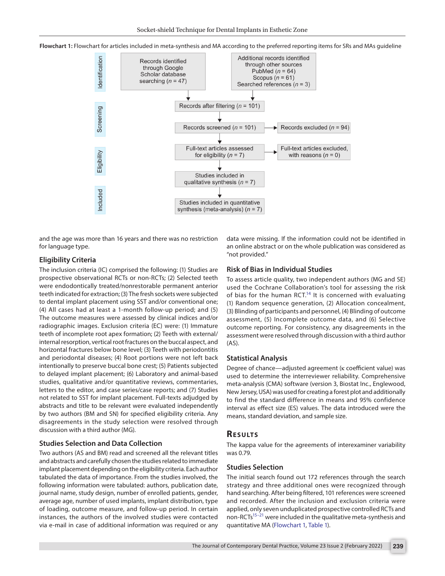<span id="page-2-0"></span>



and the age was more than 16 years and there was no restriction for language type.

#### **Eligibility Criteria**

The inclusion criteria (IC) comprised the following: (1) Studies are prospective observational RCTs or non-RCTs; (2) Selected teeth were endodontically treated/nonrestorable permanent anterior teeth indicated for extraction; (3) The fresh sockets were subjected to dental implant placement using SST and/or conventional one; (4) All cases had at least a 1-month follow-up period; and (5) The outcome measures were assessed by clinical indices and/or radiographic images. Exclusion criteria (EC) were: (1) Immature teeth of incomplete root apex formation; (2) Teeth with external/ internal resorption, vertical root fractures on the buccal aspect, and horizontal fractures below bone level; (3) Teeth with periodontitis and periodontal diseases; (4) Root portions were not left back intentionally to preserve buccal bone crest; (5) Patients subjected to delayed implant placement; (6) Laboratory and animal-based studies, qualitative and/or quantitative reviews, commentaries, letters to the editor, and case series/case reports; and (7) Studies not related to SST for implant placement. Full-texts adjudged by abstracts and title to be relevant were evaluated independently by two authors (BM and SN) for specified eligibility criteria. Any disagreements in the study selection were resolved through discussion with a third author (MG).

#### **Studies Selection and Data Collection**

Two authors (AS and BM) read and screened all the relevant titles and abstracts and carefully chosen the studies related to immediate implant placement depending on the eligibility criteria. Each author tabulated the data of importance. From the studies involved, the following information were tabulated: authors, publication date, journal name, study design, number of enrolled patients, gender, average age, number of used implants, implant distribution, type of loading, outcome measure, and follow-up period. In certain instances, the authors of the involved studies were contacted via e-mail in case of additional information was required or any

data were missing. If the information could not be identified in an online abstract or on the whole publication was considered as "not provided."

#### **Risk of Bias in Individual Studies**

To assess article quality, two independent authors (MG and SE) used the Cochrane Collaboration's tool for assessing the risk of bias for the human RCT.<sup>14</sup> It is concerned with evaluating (1) Random sequence generation, (2) Allocation concealment, (3) Blinding of participants and personnel, (4) Blinding of outcome assessment, (5) Incomplete outcome data, and (6) Selective outcome reporting. For consistency, any disagreements in the assessment were resolved through discussion with a third author (AS).

#### **Statistical Analysis**

Degree of chance—adjusted agreement (κ coefficient value) was used to determine the interreviewer reliability. Comprehensive meta-analysis (CMA) software (version 3, Biostat Inc., Englewood, New Jersey, USA) was used for creating a forest plot and additionally to find the standard difference in means and 95% confidence interval as effect size (ES) values. The data introduced were the means, standard deviation, and sample size.

## **RESULTS**

The kappa value for the agreements of interexaminer variability was 0.79.

# **Studies Selection**

The initial search found out 172 references through the search strategy and three additional ones were recognized through hand searching. After being filtered, 101 references were screened and recorded. After the inclusion and exclusion criteria were applied, only seven unduplicated prospective controlled RCTs and non-RCTs $15-21$  were included in the qualitative meta-synthesis and quantitative MA [\(Flowchart 1,](#page-2-0) [Table 1\)](#page-3-0).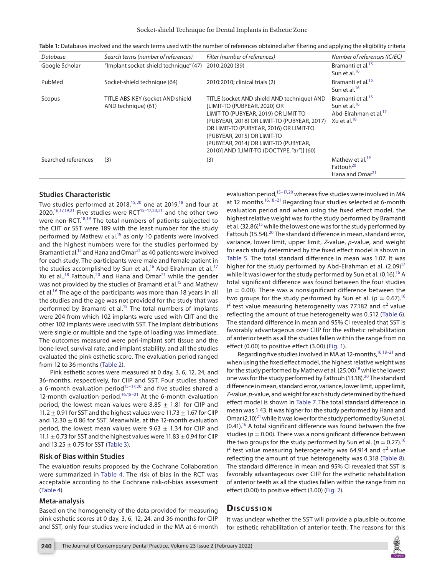Socket-shield Technique for Dental Implants in Esthetic Zone

| Database            | Search terms (number of references)                     | Filter (number of references)                                                                                                                                                                                                                                                                                                              | Number of references (IC/EC)                                                                                              |
|---------------------|---------------------------------------------------------|--------------------------------------------------------------------------------------------------------------------------------------------------------------------------------------------------------------------------------------------------------------------------------------------------------------------------------------------|---------------------------------------------------------------------------------------------------------------------------|
| Google Scholar      | "Implant socket-shield technique" (47)                  | 2010:2020 (39)                                                                                                                                                                                                                                                                                                                             | Bramanti et al. <sup>15</sup><br>Sun et al. <sup>16</sup>                                                                 |
| PubMed              | Socket-shield technique (64)                            | 2010:2010; clinical trials (2)                                                                                                                                                                                                                                                                                                             | Bramanti et al. <sup>15</sup><br>Sun et al. <sup>16</sup>                                                                 |
| Scopus              | TITLE-ABS-KEY (socket AND shield<br>AND technique) (61) | TITLE (socket AND shield AND technique) AND<br><b>ILIMIT-TO (PUBYEAR, 2020) OR</b><br>LIMIT-TO (PUBYEAR, 2019) OR LIMIT-TO<br>(PUBYEAR, 2018) OR LIMIT-TO (PUBYEAR, 2017)<br>OR LIMIT-TO (PUBYEAR, 2016) OR LIMIT-TO<br>(PUBYEAR, 2015) OR LIMIT-TO<br>(PUBYEAR, 2014) OR LIMIT-TO (PUBYEAR,<br>2010)] AND [LIMIT-TO (DOCTYPE, "ar")] (60) | Bramanti et al. <sup>15</sup><br>Sun et al. <sup>16</sup><br>Abd-Elrahman et al. <sup>17</sup><br>Xu et al. <sup>18</sup> |
| Searched references | (3)                                                     | (3)                                                                                                                                                                                                                                                                                                                                        | Mathew et al. <sup>19</sup><br>Fattouh <sup>20</sup><br>Hana and Omar <sup>21</sup>                                       |

<span id="page-3-0"></span>

| Table 1: Databases involved and the search terms used with the number of references obtained after filtering and applying the eligibility criteria |  |
|----------------------------------------------------------------------------------------------------------------------------------------------------|--|
|----------------------------------------------------------------------------------------------------------------------------------------------------|--|

## **Studies Characteristic**

Two studies performed at 2018,<sup>15,20</sup> one at 2019,<sup>18</sup> and four at 2020.<sup>16,[17](#page-7-19),[19](#page-7-20),21</sup> Five studies were RCT<sup>[15](#page-7-14)-17,[20](#page-7-16),[21](#page-7-15)</sup> and the other two were non-RCT.<sup>18,[19](#page-7-20)</sup> The total numbers of patients subjected to the CIIT or SST were 189 with the least number for the study performed by Mathew et al.<sup>[19](#page-7-20)</sup> as only 10 patients were involved and the highest numbers were for the studies performed by Bramanti et al.<sup>15</sup> and Hana and Omar<sup>21</sup> as 40 patients were involved for each study. The participants were male and female patient in the studies accomplished by Sun et al.,<sup>16</sup> Abd-Elrahman et al.,<sup>17</sup> Xu et al., $18$  Fattouh, $20$  and Hana and Omar $21$  while the gender was not provided by the studies of Bramanti et al.<sup>15</sup> and Mathew et al.<sup>19</sup> The age of the participants was more than 18 years in all the studies and the age was not provided for the study that was performed by Bramanti et al.<sup>15</sup> The total numbers of implants were 204 from which 102 implants were used with CIIT and the other 102 implants were used with SST. The implant distributions were single or multiple and the type of loading was immediate. The outcomes measured were peri-implant soft tissue and the bone level, survival rate, and implant stability, and all the studies evaluated the pink esthetic score. The evaluation period ranged from 12 to 36 months ([Table 2](#page-4-0)).

Pink esthetic scores were measured at 0 day, 3, 6, 12, 24, and 36-months, respectively, for CIIP and SST. Four studies shared a 6-month evaluation period<sup>[15](#page-7-14)-[17](#page-7-19),20</sup> and five studies shared a 12-month evaluation period.<sup>16,[18](#page-7-17)-21</sup> At the 6-month evaluation period, the lowest mean values were 8.85  $\pm$  1.81 for CIIP and 11.2  $\pm$  0.91 for SST and the highest values were 11.73  $\pm$  1.67 for CIIP and 12.30  $\pm$  0.86 for SST. Meanwhile, at the 12-month evaluation period, the lowest mean values were 9.63  $\pm$  1.34 for CIIP and 11.1  $\pm$  0.73 for SST and the highest values were 11.83  $\pm$  0.94 for CIIP and  $13.25 \pm 0.75$  for SST [\(Table 3\)](#page-4-1).

#### **Risk of Bias within Studies**

The evaluation results proposed by the Cochrane Collaboration were summarized in [Table 4.](#page-5-0) The risk of bias in the RCT was acceptable according to the Cochrane risk-of-bias assessment ([Table 4](#page-5-0)).

#### **Meta-analysis**

Based on the homogeneity of the data provided for measuring pink esthetic scores at 0 day, 3, 6, 12, 24, and 36 months for CIIP and SST, only four studies were included in the MA at 6-month

evaluation period,<sup>15-[17](#page-7-19),[20](#page-7-16)</sup> whereas five studies were involved in MA at 12 months.<sup>16[,18](#page-7-17)[–21](#page-7-15)</sup> Regarding four studies selected at 6-month evaluation period and when using the fixed effect model, the highest relative weight was for the study performed by Bramanti et al. (32.86)<sup>15</sup> while the lowest one was for the study performed by Fattouh (15.54).<sup>20</sup> The standard difference in mean, standard error, variance, lower limit, upper limit, *Z*-value, *p*-value, and weight for each study determined by the fixed effect model is shown in [Table 5](#page-5-1). The total standard difference in mean was 1.07. It was higher for the study performed by Abd-Elrahman et al.  $(2.09)^{17}$ while it was lower for the study performed by Sun et al.  $(0.16)$ .<sup>16</sup> A total significant difference was found between the four studies  $(p = 0.00)$ . There was a nonsignificant difference between the two groups for the study performed by Sun et al. ( $p = 0.67$ ).<sup>16</sup>  $l^2$  test value measuring heterogeneity was 77.182 and  $\tau^2$  value reflecting the amount of true heterogeneity was 0.512 ([Table 6\)](#page-5-2). The standard difference in mean and 95% CI revealed that SST is favorably advantageous over CIIP for the esthetic rehabilitation of anterior teeth as all the studies fallen within the range from no effect (0.00) to positive effect (3.00) [\(Fig. 1](#page-5-3)).

Regarding five studies involved in MA at 12-months,<sup>16,18-[21](#page-7-15)</sup> and when using the fixed effect model, the highest relative weight was for the study performed by Mathew et al.  $(25.00)^{19}$  while the lowest one was for the study performed by Fattouh (13.18).<sup>20</sup> The standard difference in mean, standard error, variance, lower limit, upper limit, *Z*-value, *p*-value, and weight for each study determined by the fixed effect model is shown in [Table 7](#page-6-0). The total standard difference in mean was 1.43. It was higher for the study performed by Hana and Omar  $(2.10)^{21}$  while it was lower for the study performed by Sun et al.  $(0.41)$ .<sup>16</sup> A total significant difference was found between the five studies ( $p = 0.00$ ). There was a nonsignificant difference between the two groups for the study performed by Sun et al. ( $p = 0.27$ ).<sup>16</sup>  $l^2$  test value measuring heterogeneity was 64.914 and  $\tau^2$  value reflecting the amount of true heterogeneity was 0.318 [\(Table 8\)](#page-6-1). The standard difference in mean and 95% CI revealed that SST is favorably advantageous over CIIP for the esthetic rehabilitation of anterior teeth as all the studies fallen within the range from no effect (0.00) to positive effect (3.00) ([Fig. 2\)](#page-6-2).

# **Discussion**

It was unclear whether the SST will provide a plausible outcome for esthetic rehabilitation of anterior teeth. The reasons for this

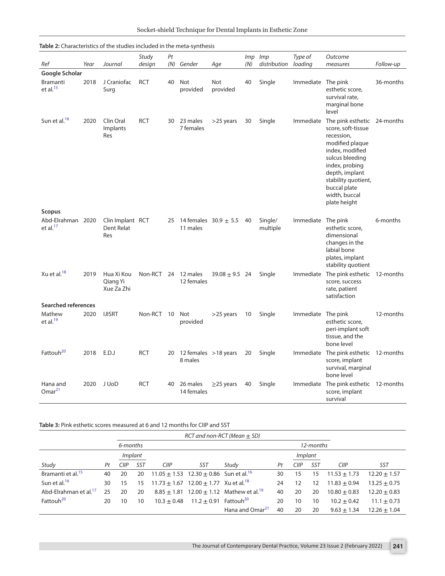| <b>Table 2:</b> Characteristics of the studies included in the meta-synthesis |      |                                       |                 |           |                                       |                    |                |                     |                    |                                                                                                                                                                                                                            |           |
|-------------------------------------------------------------------------------|------|---------------------------------------|-----------------|-----------|---------------------------------------|--------------------|----------------|---------------------|--------------------|----------------------------------------------------------------------------------------------------------------------------------------------------------------------------------------------------------------------------|-----------|
| Ref                                                                           | Year | Journal                               | Study<br>design | Pt<br>(N) | Gender                                | Age                | Imp Imp<br>(N) | distribution        | Type of<br>loading | Outcome<br>measures                                                                                                                                                                                                        | Follow-up |
| Google Scholar                                                                |      |                                       |                 |           |                                       |                    |                |                     |                    |                                                                                                                                                                                                                            |           |
| <b>Bramanti</b><br>et al. $15$                                                | 2018 | J Craniofac<br>Sura                   | <b>RCT</b>      | 40        | Not<br>provided                       | Not<br>provided    | 40             | Single              | Immediate The pink | esthetic score,<br>survival rate,<br>marginal bone<br>level                                                                                                                                                                | 36-months |
| Sun et al. <sup>16</sup>                                                      | 2020 | Clin Oral<br>Implants<br>Res          | <b>RCT</b>      | 30        | 23 males<br>7 females                 | $>$ 25 years       | 30             | Single              | Immediate          | The pink esthetic<br>score, soft-tissue<br>recession,<br>modified plaque<br>index, modified<br>sulcus bleeding<br>index, probing<br>depth, implant<br>stability quotient,<br>buccal plate<br>width, buccal<br>plate height | 24-months |
| <b>Scopus</b>                                                                 |      |                                       |                 |           |                                       |                    |                |                     |                    |                                                                                                                                                                                                                            |           |
| Abd-Elrahman 2020<br>et al. $^{17}$                                           |      | Clin Implant RCT<br>Dent Relat<br>Res |                 | 25        | 14 females $30.9 \pm 5.5$<br>11 males |                    | 40             | Single/<br>multiple | Immediate The pink | esthetic score,<br>dimensional<br>changes in the<br>labial bone<br>plates, implant<br>stability quotient                                                                                                                   | 6-months  |
| Xu et al. $^{18}$                                                             | 2019 | Hua Xi Kou<br>Qiang Yi<br>Xue Za Zhi  | Non-RCT 24      |           | 12 males<br>12 females                | $39.08 \pm 9.5$ 24 |                | Single              | Immediate          | The pink esthetic<br>score, success<br>rate, patient<br>satisfaction                                                                                                                                                       | 12-months |
| <b>Searched references</b>                                                    |      |                                       |                 |           |                                       |                    |                |                     |                    |                                                                                                                                                                                                                            |           |
| Mathew<br>et al. $19$                                                         | 2020 | <b>IJISRT</b>                         | Non-RCT         | 10        | Not<br>provided                       | >25 years          | 10             | Single              | Immediate          | The pink<br>esthetic score,<br>peri-implant soft<br>tissue, and the<br>bone level                                                                                                                                          | 12-months |
| Fattouh <sup>20</sup>                                                         | 2018 | E.D.J                                 | <b>RCT</b>      | 20        | 12 females $>18$ years<br>8 males     |                    | 20             | Single              |                    | Immediate The pink esthetic 12-months<br>score, implant<br>survival, marginal<br>bone level                                                                                                                                |           |
| Hana and<br>Omar <sup>21</sup>                                                | 2020 | J UoD                                 | <b>RCT</b>      | 40        | 26 males<br>14 females                | $\geq$ 25 years    | 40             | Single              | Immediate          | The pink esthetic<br>score, implant<br>survival                                                                                                                                                                            | 12-months |

<span id="page-4-0"></span>

| Table 2: Characteristics of the studies included in the meta-synthesis |  |  |  |
|------------------------------------------------------------------------|--|--|--|
|------------------------------------------------------------------------|--|--|--|

<span id="page-4-1"></span>**Table 3:** Pink esthetic scores measured at 6 and 12 months for CIIP and SST

|                                   |    |                                  |                       |               |                                                            | $RCT$ and non-RCT (Mean $\pm$ SD)                      |    |             |     |                 |                  |
|-----------------------------------|----|----------------------------------|-----------------------|---------------|------------------------------------------------------------|--------------------------------------------------------|----|-------------|-----|-----------------|------------------|
|                                   |    |                                  | 12-months<br>6-months |               |                                                            |                                                        |    |             |     |                 |                  |
|                                   |    | <i>Implant</i><br><i>Implant</i> |                       |               |                                                            |                                                        |    |             |     |                 |                  |
| Study                             | Pt | ∏P                               | SST                   | <b>CIIP</b>   | SST                                                        | Study                                                  | Pt | <b>CIIP</b> | SST | <b>CIIP</b>     | <b>SST</b>       |
| Bramanti et al. <sup>15</sup>     | 40 | 20                               | 20                    |               | 11.05 $\pm$ 1.53 12.30 $\pm$ 0.86 Sun et al. <sup>16</sup> |                                                        | 30 | 5           | 15  | $11.53 + 1.73$  | $12.20 \pm 1.57$ |
| Sun et al. <sup>16</sup>          | 30 | 15                               | 15                    |               | $11.73 \pm 1.67$ 12.00 $\pm$ 1.77 Xu et al. <sup>18</sup>  |                                                        | 24 | 12          | 12  | $11.83 + 0.94$  | $13.25 \pm 0.75$ |
| Abd-Elrahman et al. <sup>17</sup> | 25 | 20                               | 20                    |               |                                                            | $8.85 + 1.81$ 12.00 + 1.12 Mathew et al. <sup>19</sup> | 40 | 20          | 20  | $10.80 + 0.83$  | $12.20 + 0.83$   |
| Fattouh <sup>20</sup>             | 20 | 10                               | 10                    | $10.3 + 0.48$ | 11.2 $\pm$ 0.91 Fattouh <sup>20</sup>                      |                                                        | 20 | 10          | 10  | $10.2 + 0.42$   | $11.1 + 0.73$    |
|                                   |    |                                  |                       |               |                                                            | Hana and Omar <sup>21</sup>                            | 40 | 20          | 20  | $9.63 \pm 1.34$ | $12.26 \pm 1.04$ |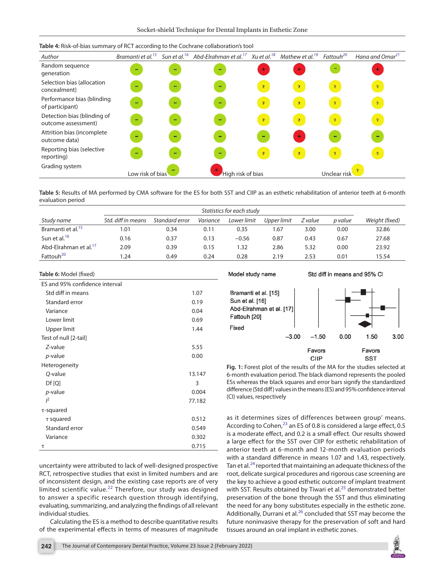| Author                                             | Bramanti et al. <sup>15</sup> |   | Sun et al. <sup>16</sup> Abd-Elrahman et al. <sup>17</sup> Xu et al. <sup>18</sup> |                | Mathew et al. <sup>19</sup> | Fattouh <sup>20</sup> | Hana and Omar <sup>21</sup> |
|----------------------------------------------------|-------------------------------|---|------------------------------------------------------------------------------------|----------------|-----------------------------|-----------------------|-----------------------------|
| Random sequence<br>generation                      |                               |   | -                                                                                  | $+$            | $\ddot{}$                   | -                     |                             |
| Selection bias (allocation<br>concealment)         | -                             | - | $\overline{\phantom{0}}$                                                           | $\overline{2}$ | $\mathcal{P}$               | $\overline{z}$        | $\mathcal{P}$               |
| Performance bias (blinding<br>of participant)      | $\overline{\phantom{0}}$      | - | -                                                                                  | $\mathcal{P}$  | $\mathcal{P}$               | $\overline{z}$        | $\mathbf{P}$                |
| Detection bias (blinding of<br>outcome assessment) | $\overline{\phantom{0}}$      | - | $\overline{\phantom{0}}$                                                           | $\overline{2}$ | $\mathbf{P}$                | $\overline{2}$        | $\mathcal{P}$               |
| Attrition bias (incomplete<br>outcome data)        | -                             |   | $\overline{\phantom{0}}$                                                           | -              | $\ddot{}$                   | -                     |                             |
| Reporting bias (selective<br>reporting)            | $\overline{\phantom{0}}$      |   | -                                                                                  | $\mathcal{P}$  | $\mathcal{P}$               | $\overline{z}$        | $\mathbf{P}$                |
| Grading system                                     | Low risk of bias              |   | High risk of bias                                                                  |                |                             | Unclear risk          |                             |

<span id="page-5-0"></span>**Table 4:** Risk-of-bias summary of RCT according to the Cochrane collaboration's tool

<span id="page-5-1"></span>**Table 5:** Results of MA performed by CMA software for the ES for both SST and CIIP as an esthetic rehabilitation of anterior teeth at 6-month evaluation period

|                                   | Statistics for each study |                |          |             |             |         |         |                |
|-----------------------------------|---------------------------|----------------|----------|-------------|-------------|---------|---------|----------------|
| Study name                        | Std. diff in means        | Standard error | Variance | Lower limit | Upper limit | Z value | p value | Weight (fixed) |
| Bramanti et al. <sup>15</sup>     | 1.01                      | 0.34           | 0.11     | 0.35        | 1.67        | 3.00    | 0.00    | 32.86          |
| Sun et al. <sup>16</sup>          | 0.16                      | 0.37           | 0.13     | $-0.56$     | 0.87        | 0.43    | 0.67    | 27.68          |
| Abd-Elrahman et al. <sup>17</sup> | 2.09                      | 0.39           | 0.15     | 1.32        | 2.86        | 5.32    | 0.00    | 23.92          |
| Fattouh <sup>20</sup>             | .24                       | 0.49           | 0.24     | 0.28        | 2.19        | 2.53    | 0.01    | 15.54          |

#### <span id="page-5-2"></span>**Table 6:** Model (fixed)

| ES and 95% confidence interval |        |
|--------------------------------|--------|
| Std diff in means              | 1.07   |
| Standard error                 | 0.19   |
| Variance                       | 0.04   |
| Lower limit                    | 0.69   |
| Upper limit                    | 1.44   |
| Test of null [2-tail]          |        |
| Z-value                        | 5.55   |
| p-value                        | 0.00   |
| Heterogeneity                  |        |
| Q-value                        | 13.147 |
| Df[Q]                          | 3      |
| <i>p</i> -value                | 0.004  |
| $l^2$                          | 77.182 |
| $\tau$ -squared                |        |
| $\tau$ squared                 | 0.512  |
| Standard error                 | 0.549  |
| Variance                       | 0.302  |
| τ                              | 0.715  |

uncertainty were attributed to lack of well-designed prospective RCT, retrospective studies that exist in limited numbers and are of inconsistent design, and the existing case reports are of very limited scientific value.<sup>[22](#page-7-21)</sup> Therefore, our study was designed to answer a specific research question through identifying, evaluating, summarizing, and analyzing the findings of all relevant individual studies.

Calculating the ES is a method to describe quantitative results of the experimental effects in terms of measures of magnitude

#### Model study name

Std diff in means and 95% Cl



<span id="page-5-3"></span>**Fig. 1:** Forest plot of the results of the MA for the studies selected at 6-month evaluation period. The black diamond represents the pooled ESs whereas the black squares and error bars signify the standardized difference (Std diff) values in the means (ES) and 95% confidence interval (CI) values, respectively

as it determines sizes of differences between group' means. According to Cohen, $^{23}$  an ES of 0.8 is considered a large effect, 0.5 is a moderate effect, and 0.2 is a small effect. Our results showed a large effect for the SST over CIIP for esthetic rehabilitation of anterior teeth at 6-month and 12-month evaluation periods with a standard difference in means 1.07 and 1.43, respectively. Tan et al. $^{24}$  reported that maintaining an adequate thickness of the root, delicate surgical procedures and rigorous case screening are the key to achieve a good esthetic outcome of implant treatment with SST. Results obtained by Tiwari et al.<sup>[25](#page-7-24)</sup> demonstrated better preservation of the bone through the SST and thus eliminating the need for any bony substitutes especially in the esthetic zone. Additionally, Durrani et al. $^{26}$  $^{26}$  $^{26}$  concluded that SST may become the future noninvasive therapy for the preservation of soft and hard tissues around an oral implant in esthetic zones.

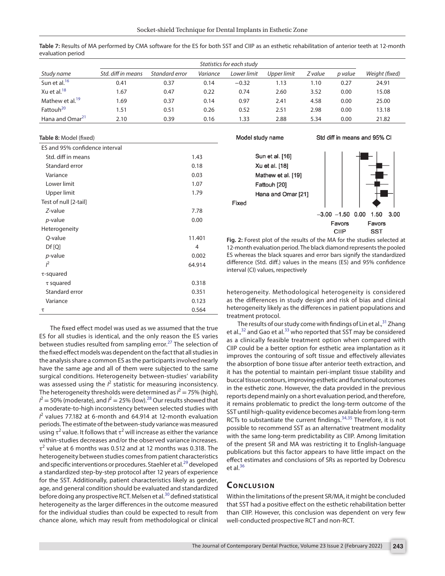|                             | Statistics for each study |                |          |             |             |         |         |                |
|-----------------------------|---------------------------|----------------|----------|-------------|-------------|---------|---------|----------------|
| Study name                  | Std. diff in means        | Standard error | Variance | Lower limit | Upper limit | Z value | p value | Weight (fixed) |
| Sun et al. <sup>16</sup>    | 0.41                      | 0.37           | 0.14     | $-0.32$     | 1.13        | 1.10    | 0.27    | 24.91          |
| Xu et al. $^{18}$           | 1.67                      | 0.47           | 0.22     | 0.74        | 2.60        | 3.52    | 0.00    | 15.08          |
| Mathew et al. <sup>19</sup> | 1.69                      | 0.37           | 0.14     | 0.97        | 2.41        | 4.58    | 0.00    | 25.00          |
| Fattouh <sup>20</sup>       | 1.51                      | 0.51           | 0.26     | 0.52        | 2.51        | 2.98    | 0.00    | 13.18          |
| Hana and Omar <sup>21</sup> | 2.10                      | 0.39           | 0.16     | I.33        | 2.88        | 5.34    | 0.00    | 21.82          |

Fixed

<span id="page-6-0"></span>**Table 7:** Results of MA performed by CMA software for the ES for both SST and CIIP as an esthetic rehabilitation of anterior teeth at 12-month evaluation period

#### <span id="page-6-1"></span>**Table 8:** Model (fixed)

| ES and 95% confidence interval |        |
|--------------------------------|--------|
| Std. diff in means             | 1.43   |
| Standard error                 | 0.18   |
| Variance                       | 0.03   |
| Lower limit                    | 1.07   |
| Upper limit                    | 1.79   |
| Test of null [2-tail]          |        |
| $Z$ -value                     | 7.78   |
| <i>p</i> -value                | 0.00   |
| Heterogeneity                  |        |
| Q-value                        | 11.401 |
| Df[Q]                          | 4      |
| <i>p</i> -value                | 0.002  |
| $l^2$                          | 64.914 |
| $\tau$ -squared                |        |
| $\tau$ squared                 | 0.318  |
| Standard error                 | 0.351  |
| Variance                       | 0.123  |
| τ                              | 0.564  |

The fixed effect model was used as we assumed that the true ES for all studies is identical, and the only reason the ES varies between studies resulted from sampling error.<sup>[27](#page-7-26)</sup> The selection of the fixed effect models was dependent on the fact that all studies in the analysis share a common ES as the participants involved nearly have the same age and all of them were subjected to the same surgical conditions. Heterogeneity between-studies' variability was assessed using the  $l^2$  statistic for measuring inconsistency. The heterogeneity thresholds were determined as  $l^2 = 75\%$  (high),  $I^2$  = 50% (moderate), and  $I^2$  = 25% (low).<sup>28</sup> Our results showed that a moderate-to-high inconsistency between selected studies with *I* 2 values 77.182 at 6-month and 64.914 at 12-month evaluation periods. The estimate of the between-study variance was measured using  $\tau^2$  value. It follows that  $\tau^2$  will increase as either the variance within-studies decreases and/or the observed variance increases.  $\tau^2$  value at 6 months was 0.512 and at 12 months was 0.318. The heterogeneity between studies comes from patient characteristics and specific interventions or procedures. Staehler et al.<sup>29</sup> developed a standardized step-by-step protocol after 12 years of experience for the SST. Additionally, patient characteristics likely as gender, age, and general condition should be evaluated and standardized before doing any prospective RCT. Melsen et al.<sup>[30](#page-7-29)</sup> defined statistical heterogeneity as the larger differences in the outcome measured for the individual studies than could be expected to result from chance alone, which may result from methodological or clinical

Std diff in means and 95% CI Model study name Sun et al. [16] Xu et al. [18] Mathew et al. [19] Fattouh [20] Hana and Omar [21]  $-3.00 -1.50 0.00$ 1.50  $3.00$ 

> **Favors Favors** CIIP **SST**

<span id="page-6-2"></span>**Fig. 2:** Forest plot of the results of the MA for the studies selected at 12-month evaluation period. The black diamond represents the pooled ES whereas the black squares and error bars signify the standardized difference (Std. diff.) values in the means (ES) and 95% confidence interval (CI) values, respectively

heterogeneity. Methodological heterogeneity is considered as the differences in study design and risk of bias and clinical heterogeneity likely as the differences in patient populations and treatment protocol.

The results of our study come with findings of Lin et al.,<sup>[31](#page-7-30)</sup> Zhang et al., $32$  and Gao et al.<sup>[33](#page-7-32)</sup> who reported that SST may be considered as a clinically feasible treatment option when compared with CIIP could be a better option for esthetic area implantation as it improves the contouring of soft tissue and effectively alleviates the absorption of bone tissue after anterior teeth extraction, and it has the potential to maintain peri-implant tissue stability and buccal tissue contours, improving esthetic and functional outcomes in the esthetic zone. However, the data provided in the previous reports depend mainly on a short evaluation period, and therefore, it remains problematic to predict the long-term outcome of the SST until high-quality evidence becomes available from long-term RCTs to substantiate the current findings.<sup>[34](#page-7-33),35</sup> Therefore, it is not possible to recommend SST as an alternative treatment modality with the same long-term predictability as CIIP. Among limitation of the present SR and MA was restricting it to English-language publications but this factor appears to have little impact on the effect estimates and conclusions of SRs as reported by Dobrescu et al. $36$ 

## **CONCLUSION**

Within the limitations of the present SR/MA, it might be concluded that SST had a positive effect on the esthetic rehabilitation better than CIIP. However, this conclusion was dependent on very few well-conducted prospective RCT and non-RCT.